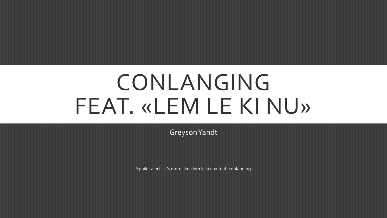# CONLANGING FEAT. «LEM LE KI NU»

Greyson Yandt

Spoiler alert—it's more like «lem le ki nu» feat. conlanging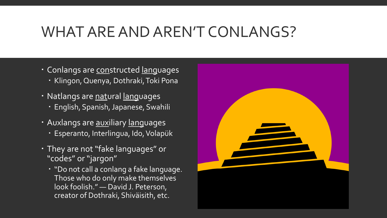## WHAT ARE AND AREN'T CONLANGS?

- Conlangs are constructed languages
	- · Klingon, Quenya, Dothraki, Toki Pona
- · Natlangs are natural languages
	- English, Spanish, Japanese, Swahili
- Auxlangs are **auxiliary** languages
	- Esperanto, Interlingua, Ido, Volapük
- They are not "fake languages" or "codes" or "jargon"
	- · "Do not call a conlang a fake language. Those who do only make themselves look foolish." — David J. Peterson, creator of Dothraki, Shiväisith, etc.

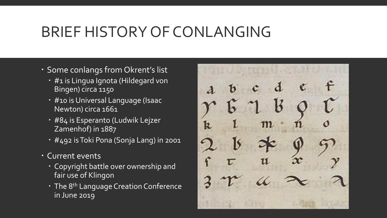## BRIEF HISTORY OF CONLANGING

- Some conlangs from Okrent's list
	- #1 is Lingua Ignota (Hildegard von Bingen) circa 1150
	- #10 is Universal Language (Isaac Newton) circa 1661
	- #84 is Esperanto (Ludwik Lejzer Zamenhof) in 1887
	- #492 is Toki Pona (Sonja Lang) in 2001
- Current events
	- Copyright battle over ownership and fair use of Klingon
	- · The 8<sup>th</sup> Language Creation Conference in June 2019

m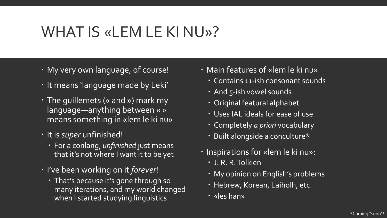# WHAT IS «LEM LE KI NU»?

- My very own language, of course!
- . It means 'language made by Leki'
- The guillemets (« and ») mark my language—anything between « » means something in «lem le ki nu»
- It is *super* unfinished!
	- For a conlang, *unfinished* just means that it's not where I want it to be yet
- I've been working on it *forever*!
	- That's because it's gone through so many iterations, and my world changed when I started studying linguistics
- Main features of «lem le ki nu»
	- Contains 11-ish consonant sounds
	- And 5-ish vowel sounds
	- Original featural alphabet
	- Uses IAL ideals for ease of use
	- Completely *a priori* vocabulary
	- Built alongside a conculture\*
- Inspirations for «lem le ki nu»:
	- J. R. R. Tolkien
	- My opinion on English's problems
	- Hebrew, Korean, Laiholh, etc.
	- «les han»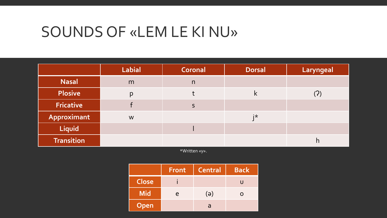#### SOUNDS OF «LEM LE KI NU»

|                   | <b>Labial</b> | Coronal | <b>Dorsal</b> | Laryngeal                  |
|-------------------|---------------|---------|---------------|----------------------------|
| <b>Nasal</b>      | m             | n       |               |                            |
| <b>Plosive</b>    | p             |         | K             | $\left( \mathbf{r}\right)$ |
| <b>Fricative</b>  |               | S       |               |                            |
| Approximant       | W             |         | i*            |                            |
| Liquid            |               |         |               |                            |
| <b>Transition</b> |               |         |               | n                          |

\*Written «y».

|              | <b>Front</b> | <b>Central</b> | <b>Back</b> |
|--------------|--------------|----------------|-------------|
| <b>Close</b> |              |                |             |
| <b>Mid</b>   | e            | $(\theta)$     | O           |
| Open         |              | a              |             |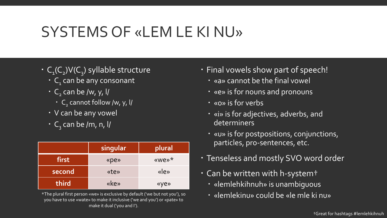# SYSTEMS OF «LEM LE KI NU»

- C<sub>1</sub>(C<sub>2</sub>)V(C<sub>3</sub>) syllable structure
	- $\cdot$  C<sub>1</sub> can be any consonant
	- $\cdot$  C<sub>2</sub> can be /w, y, l/
		- $\cdot$  C<sub>2</sub> cannot follow /w, y, l/
	- V can be any vowel
	- C<sub>3</sub> can be /m, n, l/

|        | singular | plural       |
|--------|----------|--------------|
| first  | «pe»     | «we»*        |
| second | «te»     | $\langle$ e» |
| third  | «ke»     | «ye»         |

\*The plural first person «we» is exclusive by default ('we but not you'), so **we went all also went of the could be «le mle ki nu»** you have to use «wate» to make it inclusive ('we and you') or «pate» to make it dual ('you and I').

- Final vowels show part of speech!
	- «a» cannot be the final vowel
	- «e» is for nouns and pronouns
	- «o» is for verbs
	- «i» is for adjectives, adverbs, and determiners
	- «u» is for postpositions, conjunctions, particles, pro-sentences, etc.
- Tenseless and mostly SVO word order
- Can be written with h-system†
	- «lemlehkihnuh» is unambiguous
	-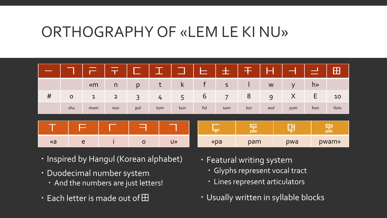### ORTHOGRAPHY OF «LEM LE KI NU»

|          |             | $\overline{\phantom{0}}$ | $\top$         | $\overline{\phantom{a}}$ | __            |              | ᆮ   | ᆂ              | 干   | ٢   |        | $\sim$         | $\mathbf{H}$ |
|----------|-------------|--------------------------|----------------|--------------------------|---------------|--------------|-----|----------------|-----|-----|--------|----------------|--------------|
|          |             | $\kappa$ m               | n              | p                        | t             | $\mathsf{k}$ | f   | $\mathsf S$    |     | W   | $\vee$ | h <sub>»</sub> |              |
| #        | $\mathbf O$ | $\mathbf{1}$             | $\overline{2}$ | $\overline{3}$           | $\frac{1}{4}$ | 5            | 6   | $\overline{7}$ | 8   | 9   | X      | E              | 10           |
|          | «hu         | mum                      | nun            | pul                      | tum           | kun          | ful | sum            | lun | wul | yum    | hun            | tlul»        |
|          |             |                          |                |                          |               |              |     |                |     |     |        |                |              |
|          |             |                          |                | 구                        |               |              | ᆕ   |                | 亖   |     | 댂      |                | [보           |
| $\alpha$ |             | e                        |                | $\mathbf O$              |               | U»           |     | «pa            | pam |     | pwa    |                | pwam»        |

- · Inspired by Hangul (Korean alphabet)
- Duodecimal number system
	- And the numbers are just letters!
- $\cdot \,$  Each letter is made out of  $\rm\boxplus$
- Featural writing system
	- Glyphs represent vocal tract
	- Lines represent articulators
- Usually written in syllable blocks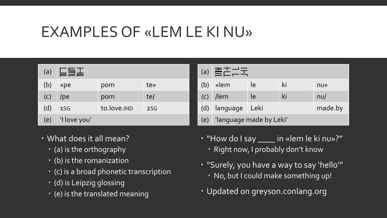# EXAMPLES OF «LEM LE KI NU»

| (a) | 后言工          |             |                 |  |  |  |
|-----|--------------|-------------|-----------------|--|--|--|
| (b) | «pe          | pom         | te»             |  |  |  |
| (C) | $/$ pe       | pom         | te/             |  |  |  |
| (d) | 1SG          | to.love.IND | 2S <sub>G</sub> |  |  |  |
| (e) | 'I love you' |             |                 |  |  |  |

- What does it all mean?
	- (a) is the orthography
	- (b) is the romanization
	- (c) is a broad phonetic transcription
	- (d) is Leipzig glossing
	- (e) is the translated meaning

| (a) | <b>AELE</b>             |                 |    |     |  |  |
|-----|-------------------------|-----------------|----|-----|--|--|
| (b) | «lem                    | le              | ki | nu» |  |  |
|     | $(c)$ /lem              | le              | ki | nU  |  |  |
| (d) | <b>Language</b>         | made.by<br>Leki |    |     |  |  |
| (e) | 'language made by Leki' |                 |    |     |  |  |

- "How do I say \_\_\_\_ in «lem le ki nu»?"
	- · Right now, I probably don't know
- "Surely, you have a way to say 'hello'" No, but I could make something up!
- Updated on greyson.conlang.org